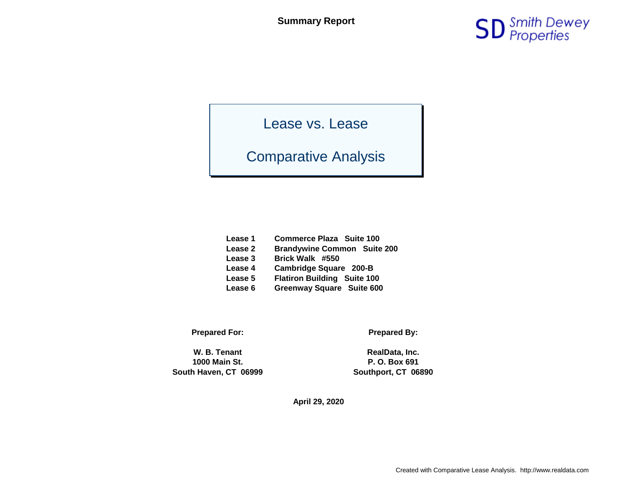

Lease vs. Lease

## Comparative Analysis

| Lease 1 | <b>Commerce Plaza Suite 100</b>    |
|---------|------------------------------------|
| Lease 2 | <b>Brandywine Common</b> Suite 200 |
| Lease 3 | Brick Walk #550                    |
| Lease 4 | <b>Cambridge Square 200-B</b>      |
| Lease 5 | <b>Flatiron Building Suite 100</b> |
| Lease 6 | Greenway Square Suite 600          |

**Prepared For: Prepared By:**

W. B. Tenant **RealData, Inc. 1000 Main St. P. O. Box 691 South Haven, CT 06999 Southport, CT 06890**

**April 29, 2020**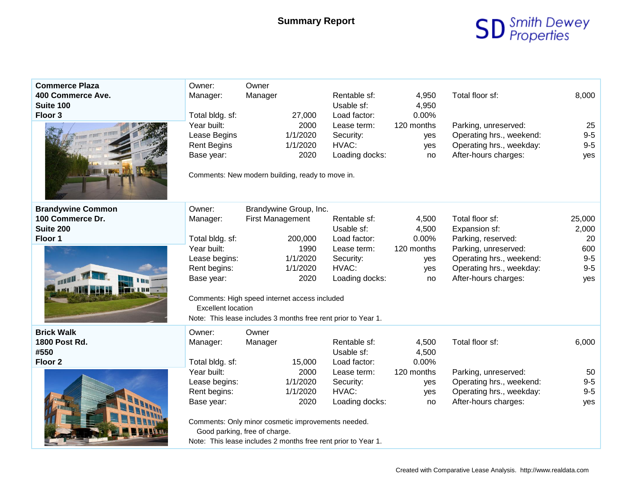## **SD** Smith Dewey

| <b>Commerce Plaza</b><br>400 Commerce Ave.<br><b>Suite 100</b><br>Floor 3                                  | Owner:<br>Manager:<br>Total bldg. sf:<br>Year built:<br>Lease Begins<br><b>Rent Begins</b><br>Base year:<br>Comments: New modern building, ready to move in.                      | Owner<br>Manager                                  | 27,000<br>2000<br>1/1/2020<br>1/1/2020<br>2020  | Rentable sf:<br>Usable sf:<br>Load factor:<br>Lease term:<br>Security:<br>HVAC:<br>Loading docks:                                                                  | 4,950<br>4,950<br>0.00%<br>120 months<br>yes<br>yes<br>no | Total floor sf:<br>Parking, unreserved:<br>Operating hrs., weekend:<br>Operating hrs., weekday:<br>After-hours charges:                                        | 8,000<br>25<br>$9-5$<br>$9-5$<br>yes                  |
|------------------------------------------------------------------------------------------------------------|-----------------------------------------------------------------------------------------------------------------------------------------------------------------------------------|---------------------------------------------------|-------------------------------------------------|--------------------------------------------------------------------------------------------------------------------------------------------------------------------|-----------------------------------------------------------|----------------------------------------------------------------------------------------------------------------------------------------------------------------|-------------------------------------------------------|
| <b>Brandywine Common</b><br>100 Commerce Dr.<br>Suite 200<br>Floor 1<br><b>ANTIFICITY</b><br>1670 IV I VII | Owner:<br>Manager:<br>Total bldg. sf:<br>Year built:<br>Lease begins:<br>Rent begins:<br>Base year:<br>Comments: High speed internet access included<br><b>Excellent location</b> | Brandywine Group, Inc.<br><b>First Management</b> | 200,000<br>1990<br>1/1/2020<br>1/1/2020<br>2020 | Rentable sf:<br>Usable sf:<br>Load factor:<br>Lease term:<br>Security:<br>HVAC:<br>Loading docks:<br>Note: This lease includes 3 months free rent prior to Year 1. | 4,500<br>4,500<br>0.00%<br>120 months<br>yes<br>yes<br>no | Total floor sf:<br>Expansion sf:<br>Parking, reserved:<br>Parking, unreserved:<br>Operating hrs., weekend:<br>Operating hrs., weekday:<br>After-hours charges: | 25,000<br>2,000<br>20<br>600<br>$9-5$<br>$9-5$<br>yes |
| <b>Brick Walk</b><br>1800 Post Rd.<br>#550<br>Floor <sub>2</sub>                                           | Owner:<br>Manager:<br>Total bldg. sf:<br>Year built:<br>Lease begins:<br>Rent begins:<br>Base year:<br>Comments: Only minor cosmetic improvements needed.                         | Owner<br>Manager<br>Good parking, free of charge. | 15,000<br>2000<br>1/1/2020<br>1/1/2020<br>2020  | Rentable sf:<br>Usable sf:<br>Load factor:<br>Lease term:<br>Security:<br>HVAC:<br>Loading docks:<br>Note: This lease includes 2 months free rent prior to Year 1. | 4,500<br>4,500<br>0.00%<br>120 months<br>yes<br>yes<br>no | Total floor sf:<br>Parking, unreserved:<br>Operating hrs., weekend:<br>Operating hrs., weekday:<br>After-hours charges:                                        | 6,000<br>50<br>$9-5$<br>$9-5$<br>yes                  |